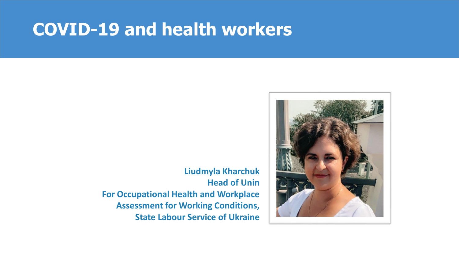# **COVID-19 and health workers**

**Liudmyla Kharchuk Head of Unin For Occupational Health and Workplace Assessment for Working Conditions, State Labour Service of Ukraine** 

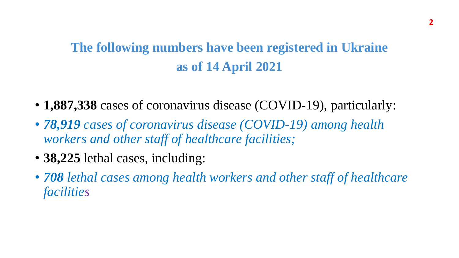# **The following numbers have been registered in Ukraine as of 14 April 2021**

- **1,887,338** cases of coronavirus disease (COVID-19), particularly:
- *78,919 cases of coronavirus disease (COVID-19) among health workers and other staff of healthcare facilities;*
- **38,225** lethal cases, including:
- *708 lethal cases among health workers and other staff of healthcare facilities*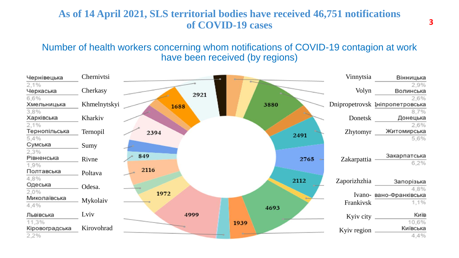### **As of 14 April 2021, SLS territorial bodies have received 46,751 notifications of COVID-19 cases**

#### Number of health workers concerning whom notifications of COVID-19 contagion at work have been received (by regions)

| Чернівецька                   | Chernivtsi   |             |      |      |      | Vinnytsia       | Вінницька                                       |
|-------------------------------|--------------|-------------|------|------|------|-----------------|-------------------------------------------------|
| 2.1%<br>Черкаська             | Cherkasy     |             | 2921 |      |      | Volyn           | 2,9%<br>Волинська                               |
| 6,6%<br>Хмельницька<br>3,8%   | Khmelnytskyi | 1688        |      | 3880 |      |                 | 2,6%<br>Dnipropetrovsk Ініпропетровська<br>8,7% |
| Харківська                    | Kharkiv      |             |      |      |      | Donetsk         | Донецька                                        |
| 2,1%<br>Тернопільська<br>5,4% | Ternopil     | 2394        |      |      | 2491 | <b>Zhytomyr</b> | 2.6%<br>Житомирська<br>5,6%                     |
| Сумська                       | Sumy         |             |      |      |      |                 |                                                 |
| 2,3%<br>Рівненська<br>1,9%    | Rivne        | 849<br>2116 |      |      | 2765 | Zakarpattia     | Закарпатська<br>6,2%                            |
| Полтавська<br>4,8%            | Poltava      |             |      |      |      |                 |                                                 |
| Одеська<br>2,0%               | Odesa.       | 1972        |      |      | 2112 | Zaporizhzhia    | Запорізька<br>4.8%<br>Ivano- вано-Франківська   |
| Миколаївська<br>4,4%          | Mykolaiv     |             |      | 4693 |      | Frankivsk       | 1,1%                                            |
| Львівська<br>11,3%            | Lviv         | 4999        |      |      |      | Kyiv city       | Київ<br>10,6%                                   |
| Кіровоградська<br>2,2%        | Kirovohrad   |             |      | 1939 |      | Kyiv region     | Київська<br>4,4%                                |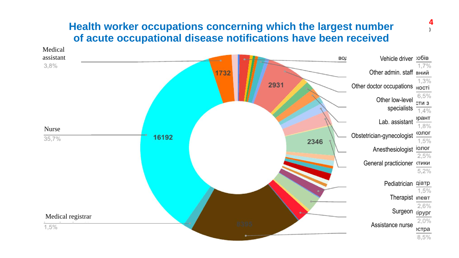### **Health worker occupations concerning which the largest number of acute occupational disease notifications have been received**



**4**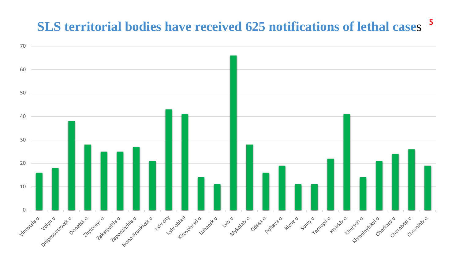#### **SLS territorial bodies have received 625 notifications of lethal case**s

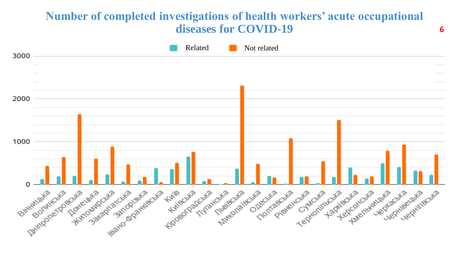## **Number of completed investigations of health workers' acute occupational diseases for COVID-19**



**6**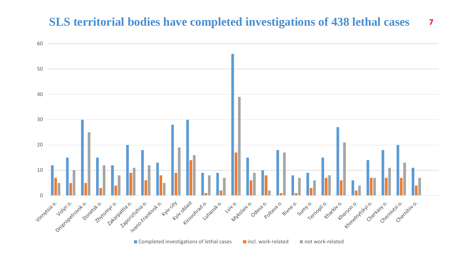#### **SLS territorial bodies have completed investigations of 438 lethal cases**